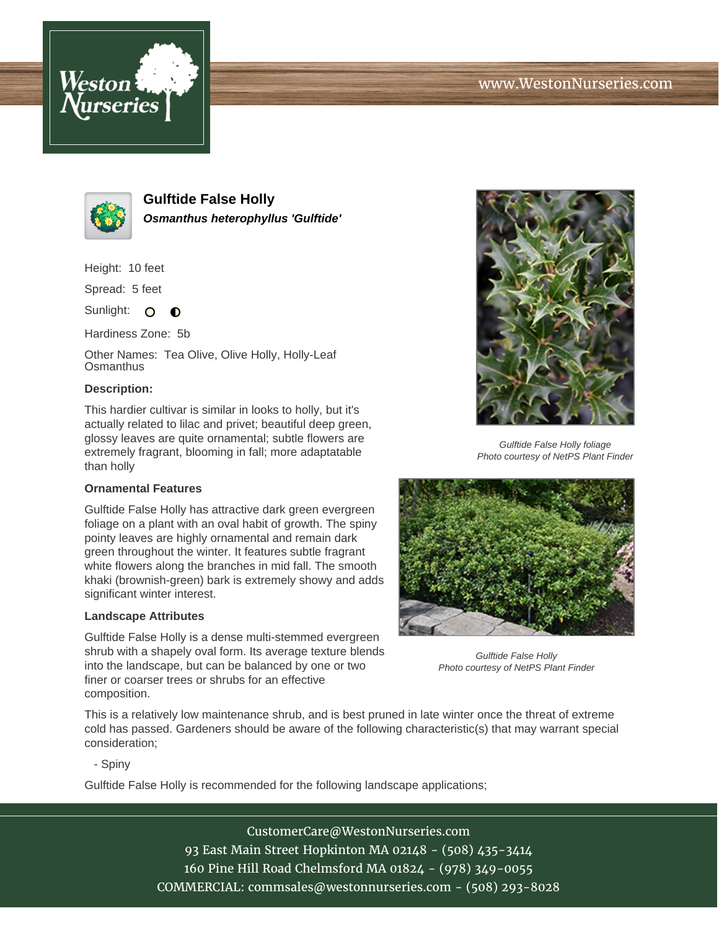



**Gulftide False Holly Osmanthus heterophyllus 'Gulftide'**

Height: 10 feet

Spread: 5 feet

Sunlight: O  $\bullet$ 

Hardiness Zone: 5b

Other Names: Tea Olive, Olive Holly, Holly-Leaf **Osmanthus** 

## **Description:**

This hardier cultivar is similar in looks to holly, but it's actually related to lilac and privet; beautiful deep green, glossy leaves are quite ornamental; subtle flowers are extremely fragrant, blooming in fall; more adaptatable than holly

## **Ornamental Features**

Gulftide False Holly has attractive dark green evergreen foliage on a plant with an oval habit of growth. The spiny pointy leaves are highly ornamental and remain dark green throughout the winter. It features subtle fragrant white flowers along the branches in mid fall. The smooth khaki (brownish-green) bark is extremely showy and adds significant winter interest.

## **Landscape Attributes**

Gulftide False Holly is a dense multi-stemmed evergreen shrub with a shapely oval form. Its average texture blends into the landscape, but can be balanced by one or two finer or coarser trees or shrubs for an effective composition.



Gulftide False Holly foliage Photo courtesy of NetPS Plant Finder



Gulftide False Holly Photo courtesy of NetPS Plant Finder

This is a relatively low maintenance shrub, and is best pruned in late winter once the threat of extreme cold has passed. Gardeners should be aware of the following characteristic(s) that may warrant special consideration;

- Spiny

Gulftide False Holly is recommended for the following landscape applications;

CustomerCare@WestonNurseries.com 93 East Main Street Hopkinton MA 02148 - (508) 435-3414 160 Pine Hill Road Chelmsford MA 01824 - (978) 349-0055 COMMERCIAL: commsales@westonnurseries.com - (508) 293-8028